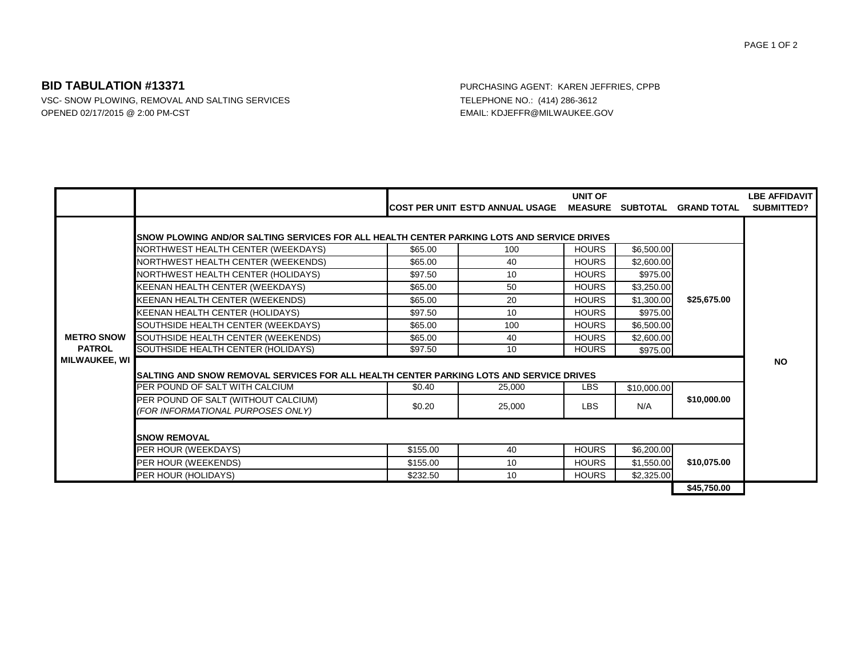## **BID TABULATION #13371** PURCHASING AGENT: KAREN JEFFRIES, CPPB

VSC- SNOW PLOWING, REMOVAL AND SALTING SERVICES TELEPHONE NO.: (414) 286-3612 OPENED 02/17/2015 @ 2:00 PM-CST CONSULTER CONSULTER CONSULTER CONSULTER CONSULTER CONSULTER CONSULTER CONSULTER CONSULTER CONSULTER CONSULTER CONSULTER CONSULTER CONSULTER CONSULTER CONSULTER CONSULTER CONSULTER CONSULTER

|                                    |                                                                                             |          | COST PER UNIT EST'D ANNUAL USAGE | UNIT OF      |             | MEASURE SUBTOTAL GRAND TOTAL | <b>LBE AFFIDAVIT</b><br><b>SUBMITTED?</b> |
|------------------------------------|---------------------------------------------------------------------------------------------|----------|----------------------------------|--------------|-------------|------------------------------|-------------------------------------------|
|                                    | ISNOW PLOWING AND/OR SALTING SERVICES FOR ALL HEALTH CENTER PARKING LOTS AND SERVICE DRIVES |          |                                  |              |             |                              |                                           |
| <b>METRO SNOW</b><br><b>PATROL</b> | NORTHWEST HEALTH CENTER (WEEKDAYS)                                                          | \$65.00  | 100                              | <b>HOURS</b> | \$6,500.00  | \$25,675.00                  |                                           |
|                                    | NORTHWEST HEALTH CENTER (WEEKENDS)                                                          | \$65.00  | 40                               | <b>HOURS</b> | \$2,600.00  |                              |                                           |
|                                    | NORTHWEST HEALTH CENTER (HOLIDAYS)                                                          | \$97.50  | 10                               | <b>HOURS</b> | \$975.00    |                              |                                           |
|                                    | KEENAN HEALTH CENTER (WEEKDAYS)                                                             | \$65.00  | 50                               | <b>HOURS</b> | \$3,250.00  |                              |                                           |
|                                    | KEENAN HEALTH CENTER (WEEKENDS)                                                             | \$65.00  | 20                               | <b>HOURS</b> | \$1,300.00  |                              |                                           |
|                                    | KEENAN HEALTH CENTER (HOLIDAYS)                                                             | \$97.50  | 10                               | <b>HOURS</b> | \$975.00    |                              |                                           |
|                                    | SOUTHSIDE HEALTH CENTER (WEEKDAYS)                                                          | \$65.00  | 100                              | <b>HOURS</b> | \$6,500.00  |                              |                                           |
|                                    | SOUTHSIDE HEALTH CENTER (WEEKENDS)                                                          | \$65.00  | 40                               | <b>HOURS</b> | \$2,600.00  |                              |                                           |
|                                    | SOUTHSIDE HEALTH CENTER (HOLIDAYS)                                                          | \$97.50  | 10                               | <b>HOURS</b> | \$975.00    |                              |                                           |
| MILWAUKEE, WI                      |                                                                                             |          |                                  |              |             |                              | <b>NO</b>                                 |
|                                    | ISALTING AND SNOW REMOVAL SERVICES FOR ALL HEALTH CENTER PARKING LOTS AND SERVICE DRIVES    |          |                                  |              |             |                              |                                           |
|                                    | PER POUND OF SALT WITH CALCIUM                                                              | \$0.40   | 25,000                           | LBS.         | \$10,000.00 |                              |                                           |
|                                    | PER POUND OF SALT (WITHOUT CALCIUM)<br>(FOR INFORMATIONAL PURPOSES ONLY)                    | \$0.20   | 25,000                           | <b>LBS</b>   | N/A         | \$10,000.00                  |                                           |
|                                    | <b>SNOW REMOVAL</b>                                                                         |          |                                  |              |             |                              |                                           |
|                                    | PER HOUR (WEEKDAYS)                                                                         | \$155.00 | 40                               | <b>HOURS</b> | \$6,200.00  | \$10,075.00                  |                                           |
|                                    | PER HOUR (WEEKENDS)                                                                         | \$155.00 | 10                               | <b>HOURS</b> | \$1,550.00  |                              |                                           |
|                                    | PER HOUR (HOLIDAYS)                                                                         | \$232.50 | 10                               | <b>HOURS</b> | \$2,325.00  |                              |                                           |
|                                    |                                                                                             |          |                                  |              |             | \$45,750.00                  |                                           |